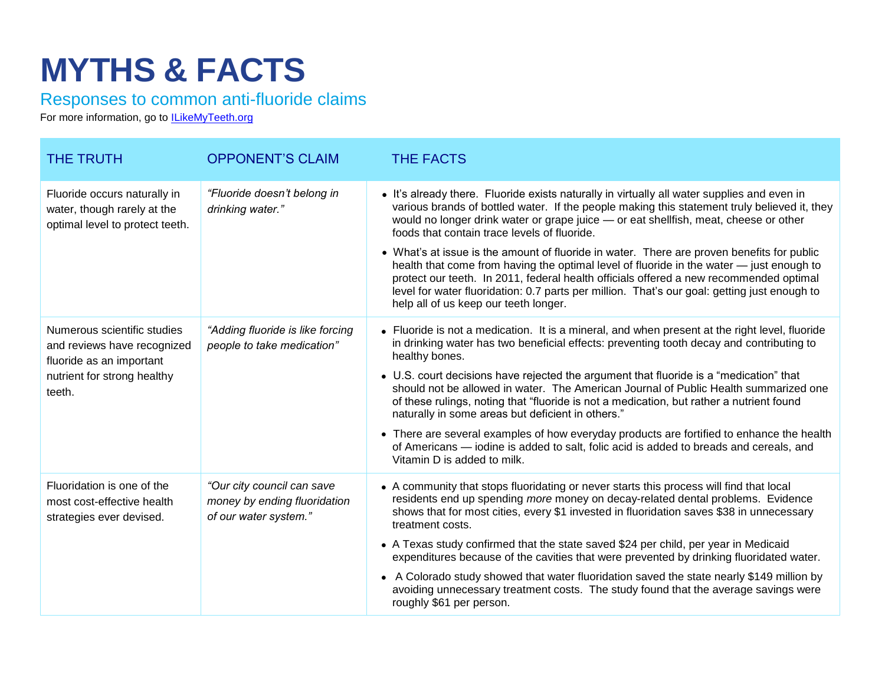## **MYTHS & FACTS**

Responses to common anti-fluoride claims

For more information, go to **ILikeMyTeeth.org** 

| <b>THE TRUTH</b>                                                                                                                | <b>OPPONENT'S CLAIM</b>                                                             | <b>THE FACTS</b>                                                                                                                                                                                                                                                                                                                                                                                                                                                                                                                                                                                                                                                                                                                                                      |
|---------------------------------------------------------------------------------------------------------------------------------|-------------------------------------------------------------------------------------|-----------------------------------------------------------------------------------------------------------------------------------------------------------------------------------------------------------------------------------------------------------------------------------------------------------------------------------------------------------------------------------------------------------------------------------------------------------------------------------------------------------------------------------------------------------------------------------------------------------------------------------------------------------------------------------------------------------------------------------------------------------------------|
| Fluoride occurs naturally in<br>water, though rarely at the<br>optimal level to protect teeth.                                  | "Fluoride doesn't belong in<br>drinking water."                                     | • It's already there. Fluoride exists naturally in virtually all water supplies and even in<br>various brands of bottled water. If the people making this statement truly believed it, they<br>would no longer drink water or grape juice — or eat shellfish, meat, cheese or other<br>foods that contain trace levels of fluoride.<br>• What's at issue is the amount of fluoride in water. There are proven benefits for public<br>health that come from having the optimal level of fluoride in the water — just enough to<br>protect our teeth. In 2011, federal health officials offered a new recommended optimal<br>level for water fluoridation: 0.7 parts per million. That's our goal: getting just enough to<br>help all of us keep our teeth longer.      |
| Numerous scientific studies<br>and reviews have recognized<br>fluoride as an important<br>nutrient for strong healthy<br>teeth. | "Adding fluoride is like forcing<br>people to take medication"                      | • Fluoride is not a medication. It is a mineral, and when present at the right level, fluoride<br>in drinking water has two beneficial effects: preventing tooth decay and contributing to<br>healthy bones.<br>• U.S. court decisions have rejected the argument that fluoride is a "medication" that<br>should not be allowed in water. The American Journal of Public Health summarized one<br>of these rulings, noting that "fluoride is not a medication, but rather a nutrient found<br>naturally in some areas but deficient in others."<br>• There are several examples of how everyday products are fortified to enhance the health<br>of Americans — iodine is added to salt, folic acid is added to breads and cereals, and<br>Vitamin D is added to milk. |
| Fluoridation is one of the<br>most cost-effective health<br>strategies ever devised.                                            | "Our city council can save<br>money by ending fluoridation<br>of our water system." | • A community that stops fluoridating or never starts this process will find that local<br>residents end up spending more money on decay-related dental problems. Evidence<br>shows that for most cities, every \$1 invested in fluoridation saves \$38 in unnecessary<br>treatment costs.<br>• A Texas study confirmed that the state saved \$24 per child, per year in Medicaid<br>expenditures because of the cavities that were prevented by drinking fluoridated water.<br>• A Colorado study showed that water fluoridation saved the state nearly \$149 million by<br>avoiding unnecessary treatment costs. The study found that the average savings were<br>roughly \$61 per person.                                                                          |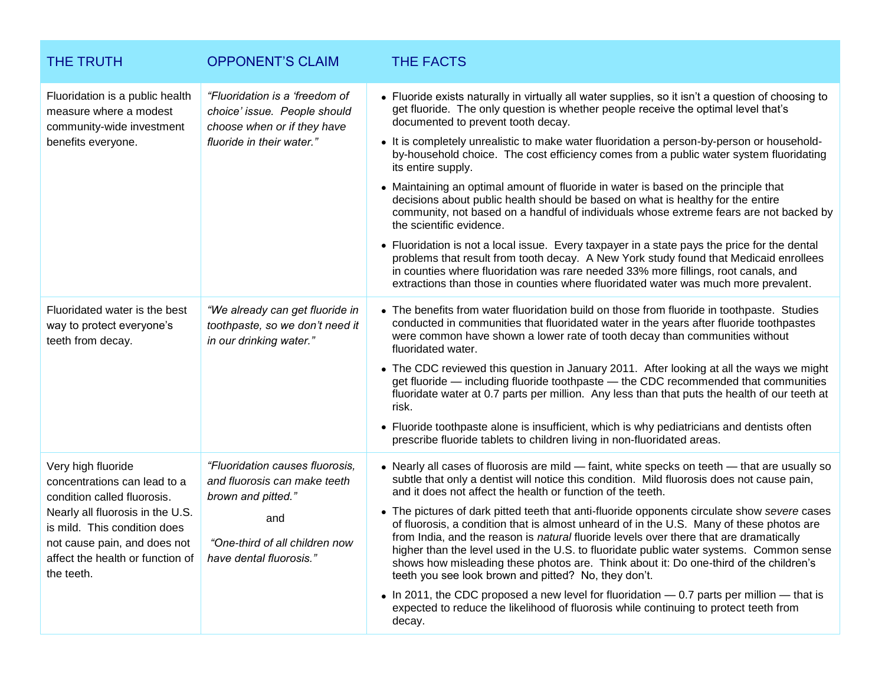| <b>THE TRUTH</b>                                                                                                                                                                                                                        | <b>OPPONENT'S CLAIM</b>                                                                                                                                   | <b>THE FACTS</b>                                                                                                                                                                                                                                                                                                                                                                                                                                                                                                                                                                                                                                                                                                                                                                                                                                                                                                                                                                                                                                                                                                   |
|-----------------------------------------------------------------------------------------------------------------------------------------------------------------------------------------------------------------------------------------|-----------------------------------------------------------------------------------------------------------------------------------------------------------|--------------------------------------------------------------------------------------------------------------------------------------------------------------------------------------------------------------------------------------------------------------------------------------------------------------------------------------------------------------------------------------------------------------------------------------------------------------------------------------------------------------------------------------------------------------------------------------------------------------------------------------------------------------------------------------------------------------------------------------------------------------------------------------------------------------------------------------------------------------------------------------------------------------------------------------------------------------------------------------------------------------------------------------------------------------------------------------------------------------------|
| Fluoridation is a public health<br>measure where a modest<br>community-wide investment<br>benefits everyone.                                                                                                                            | "Fluoridation is a 'freedom of<br>choice' issue. People should<br>choose when or if they have<br>fluoride in their water."                                | • Fluoride exists naturally in virtually all water supplies, so it isn't a question of choosing to<br>get fluoride. The only question is whether people receive the optimal level that's<br>documented to prevent tooth decay.<br>• It is completely unrealistic to make water fluoridation a person-by-person or household-<br>by-household choice. The cost efficiency comes from a public water system fluoridating<br>its entire supply.<br>• Maintaining an optimal amount of fluoride in water is based on the principle that<br>decisions about public health should be based on what is healthy for the entire<br>community, not based on a handful of individuals whose extreme fears are not backed by<br>the scientific evidence.<br>• Fluoridation is not a local issue. Every taxpayer in a state pays the price for the dental<br>problems that result from tooth decay. A New York study found that Medicaid enrollees<br>in counties where fluoridation was rare needed 33% more fillings, root canals, and<br>extractions than those in counties where fluoridated water was much more prevalent. |
| Fluoridated water is the best<br>way to protect everyone's<br>teeth from decay.                                                                                                                                                         | "We already can get fluoride in<br>toothpaste, so we don't need it<br>in our drinking water."                                                             | • The benefits from water fluoridation build on those from fluoride in toothpaste. Studies<br>conducted in communities that fluoridated water in the years after fluoride toothpastes<br>were common have shown a lower rate of tooth decay than communities without<br>fluoridated water.<br>• The CDC reviewed this question in January 2011. After looking at all the ways we might<br>get fluoride - including fluoride toothpaste - the CDC recommended that communities<br>fluoridate water at 0.7 parts per million. Any less than that puts the health of our teeth at<br>risk.<br>• Fluoride toothpaste alone is insufficient, which is why pediatricians and dentists often<br>prescribe fluoride tablets to children living in non-fluoridated areas.                                                                                                                                                                                                                                                                                                                                                   |
| Very high fluoride<br>concentrations can lead to a<br>condition called fluorosis.<br>Nearly all fluorosis in the U.S.<br>is mild. This condition does<br>not cause pain, and does not<br>affect the health or function of<br>the teeth. | "Fluoridation causes fluorosis,<br>and fluorosis can make teeth<br>brown and pitted."<br>and<br>"One-third of all children now<br>have dental fluorosis." | • Nearly all cases of fluorosis are mild - faint, white specks on teeth - that are usually so<br>subtle that only a dentist will notice this condition. Mild fluorosis does not cause pain,<br>and it does not affect the health or function of the teeth.<br>• The pictures of dark pitted teeth that anti-fluoride opponents circulate show severe cases<br>of fluorosis, a condition that is almost unheard of in the U.S. Many of these photos are<br>from India, and the reason is natural fluoride levels over there that are dramatically<br>higher than the level used in the U.S. to fluoridate public water systems. Common sense<br>shows how misleading these photos are. Think about it: Do one-third of the children's<br>teeth you see look brown and pitted? No, they don't.<br>• In 2011, the CDC proposed a new level for fluoridation — 0.7 parts per million — that is<br>expected to reduce the likelihood of fluorosis while continuing to protect teeth from<br>decay.                                                                                                                      |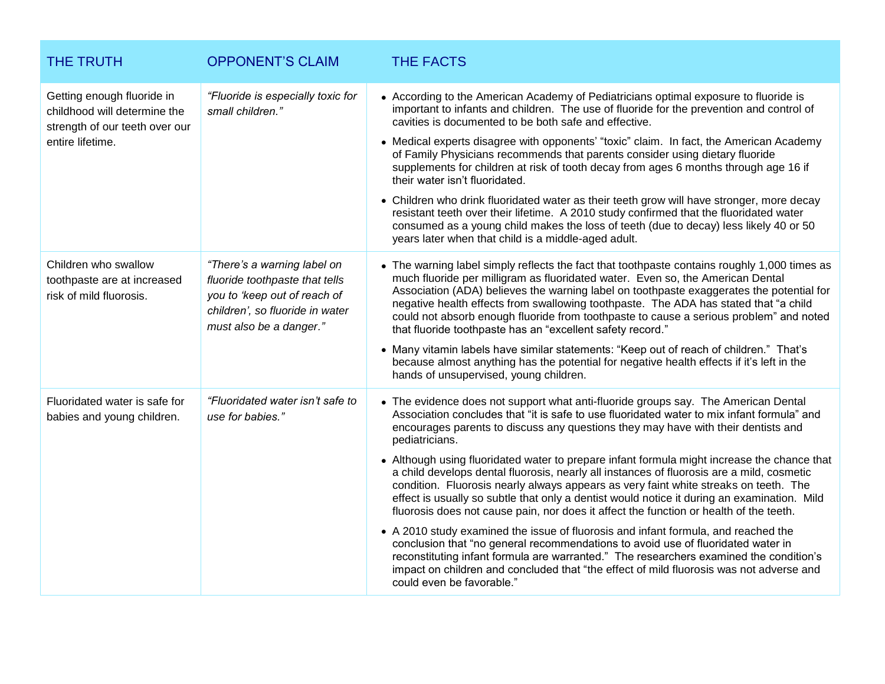| <b>THE TRUTH</b>                                                                                                 | <b>OPPONENT'S CLAIM</b>                                                                                                                                     | <b>THE FACTS</b>                                                                                                                                                                                                                                                                                                                                                                                                                                                                                                                                                                                                                                                                                                                                                                                                                                                                                                                                                                                                                                                                                                                                                 |
|------------------------------------------------------------------------------------------------------------------|-------------------------------------------------------------------------------------------------------------------------------------------------------------|------------------------------------------------------------------------------------------------------------------------------------------------------------------------------------------------------------------------------------------------------------------------------------------------------------------------------------------------------------------------------------------------------------------------------------------------------------------------------------------------------------------------------------------------------------------------------------------------------------------------------------------------------------------------------------------------------------------------------------------------------------------------------------------------------------------------------------------------------------------------------------------------------------------------------------------------------------------------------------------------------------------------------------------------------------------------------------------------------------------------------------------------------------------|
| Getting enough fluoride in<br>childhood will determine the<br>strength of our teeth over our<br>entire lifetime. | "Fluoride is especially toxic for<br>small children."                                                                                                       | • According to the American Academy of Pediatricians optimal exposure to fluoride is<br>important to infants and children. The use of fluoride for the prevention and control of<br>cavities is documented to be both safe and effective.<br>• Medical experts disagree with opponents' "toxic" claim. In fact, the American Academy<br>of Family Physicians recommends that parents consider using dietary fluoride<br>supplements for children at risk of tooth decay from ages 6 months through age 16 if<br>their water isn't fluoridated.<br>• Children who drink fluoridated water as their teeth grow will have stronger, more decay<br>resistant teeth over their lifetime. A 2010 study confirmed that the fluoridated water<br>consumed as a young child makes the loss of teeth (due to decay) less likely 40 or 50<br>years later when that child is a middle-aged adult.                                                                                                                                                                                                                                                                            |
| Children who swallow<br>toothpaste are at increased<br>risk of mild fluorosis.                                   | "There's a warning label on<br>fluoride toothpaste that tells<br>you to 'keep out of reach of<br>children', so fluoride in water<br>must also be a danger." | • The warning label simply reflects the fact that toothpaste contains roughly 1,000 times as<br>much fluoride per milligram as fluoridated water. Even so, the American Dental<br>Association (ADA) believes the warning label on toothpaste exaggerates the potential for<br>negative health effects from swallowing toothpaste. The ADA has stated that "a child<br>could not absorb enough fluoride from toothpaste to cause a serious problem" and noted<br>that fluoride toothpaste has an "excellent safety record."<br>• Many vitamin labels have similar statements: "Keep out of reach of children." That's<br>because almost anything has the potential for negative health effects if it's left in the<br>hands of unsupervised, young children.                                                                                                                                                                                                                                                                                                                                                                                                      |
| Fluoridated water is safe for<br>babies and young children.                                                      | "Fluoridated water isn't safe to<br>use for babies."                                                                                                        | • The evidence does not support what anti-fluoride groups say. The American Dental<br>Association concludes that "it is safe to use fluoridated water to mix infant formula" and<br>encourages parents to discuss any questions they may have with their dentists and<br>pediatricians.<br>• Although using fluoridated water to prepare infant formula might increase the chance that<br>a child develops dental fluorosis, nearly all instances of fluorosis are a mild, cosmetic<br>condition. Fluorosis nearly always appears as very faint white streaks on teeth. The<br>effect is usually so subtle that only a dentist would notice it during an examination. Mild<br>fluorosis does not cause pain, nor does it affect the function or health of the teeth.<br>• A 2010 study examined the issue of fluorosis and infant formula, and reached the<br>conclusion that "no general recommendations to avoid use of fluoridated water in<br>reconstituting infant formula are warranted." The researchers examined the condition's<br>impact on children and concluded that "the effect of mild fluorosis was not adverse and<br>could even be favorable." |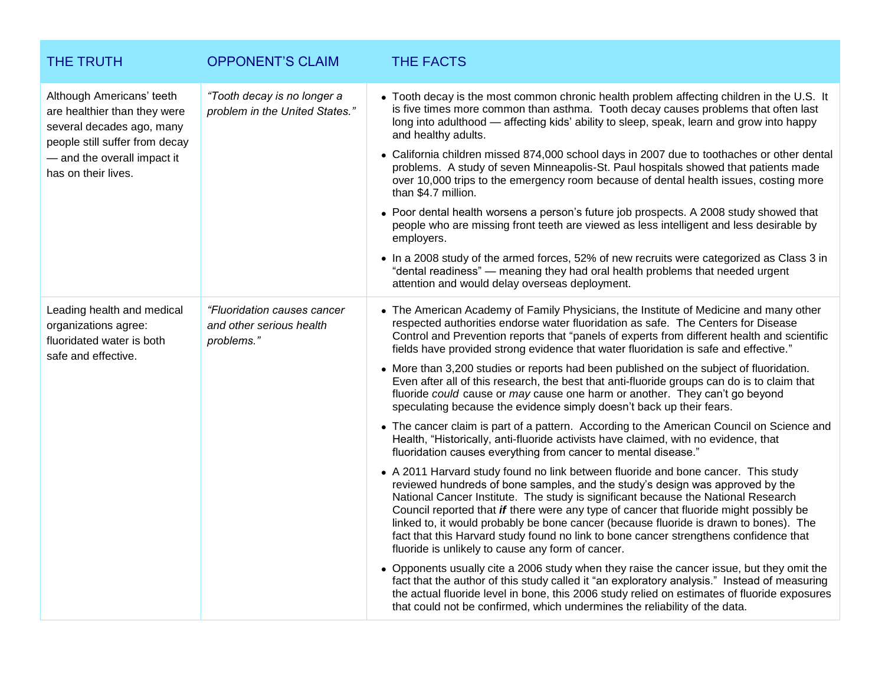| THE TRUTH                                                                                                                                                                      | <b>OPPONENT'S CLAIM</b>                                               | <b>THE FACTS</b>                                                                                                                                                                                                                                                                                                                                                                                                                                                                                                                                                                                                                                                                                                                                                                                                                                                                                                                                                                                                                                              |
|--------------------------------------------------------------------------------------------------------------------------------------------------------------------------------|-----------------------------------------------------------------------|---------------------------------------------------------------------------------------------------------------------------------------------------------------------------------------------------------------------------------------------------------------------------------------------------------------------------------------------------------------------------------------------------------------------------------------------------------------------------------------------------------------------------------------------------------------------------------------------------------------------------------------------------------------------------------------------------------------------------------------------------------------------------------------------------------------------------------------------------------------------------------------------------------------------------------------------------------------------------------------------------------------------------------------------------------------|
| Although Americans' teeth<br>are healthier than they were<br>several decades ago, many<br>people still suffer from decay<br>- and the overall impact it<br>has on their lives. | "Tooth decay is no longer a<br>problem in the United States."         | • Tooth decay is the most common chronic health problem affecting children in the U.S. It<br>is five times more common than asthma. Tooth decay causes problems that often last<br>long into adulthood - affecting kids' ability to sleep, speak, learn and grow into happy<br>and healthy adults.<br>• California children missed 874,000 school days in 2007 due to toothaches or other dental<br>problems. A study of seven Minneapolis-St. Paul hospitals showed that patients made<br>over 10,000 trips to the emergency room because of dental health issues, costing more<br>than \$4.7 million.<br>• Poor dental health worsens a person's future job prospects. A 2008 study showed that<br>people who are missing front teeth are viewed as less intelligent and less desirable by<br>employers.<br>• In a 2008 study of the armed forces, 52% of new recruits were categorized as Class 3 in<br>"dental readiness" - meaning they had oral health problems that needed urgent<br>attention and would delay overseas deployment.                    |
| Leading health and medical<br>organizations agree:<br>fluoridated water is both<br>safe and effective.                                                                         | "Fluoridation causes cancer<br>and other serious health<br>problems." | • The American Academy of Family Physicians, the Institute of Medicine and many other<br>respected authorities endorse water fluoridation as safe. The Centers for Disease<br>Control and Prevention reports that "panels of experts from different health and scientific<br>fields have provided strong evidence that water fluoridation is safe and effective."<br>• More than 3,200 studies or reports had been published on the subject of fluoridation.<br>Even after all of this research, the best that anti-fluoride groups can do is to claim that<br>fluoride could cause or may cause one harm or another. They can't go beyond<br>speculating because the evidence simply doesn't back up their fears.<br>• The cancer claim is part of a pattern. According to the American Council on Science and<br>Health, "Historically, anti-fluoride activists have claimed, with no evidence, that<br>fluoridation causes everything from cancer to mental disease."<br>• A 2011 Harvard study found no link between fluoride and bone cancer. This study |
|                                                                                                                                                                                |                                                                       | reviewed hundreds of bone samples, and the study's design was approved by the<br>National Cancer Institute. The study is significant because the National Research<br>Council reported that if there were any type of cancer that fluoride might possibly be<br>linked to, it would probably be bone cancer (because fluoride is drawn to bones). The<br>fact that this Harvard study found no link to bone cancer strengthens confidence that<br>fluoride is unlikely to cause any form of cancer.<br>• Opponents usually cite a 2006 study when they raise the cancer issue, but they omit the<br>fact that the author of this study called it "an exploratory analysis." Instead of measuring<br>the actual fluoride level in bone, this 2006 study relied on estimates of fluoride exposures<br>that could not be confirmed, which undermines the reliability of the data.                                                                                                                                                                                |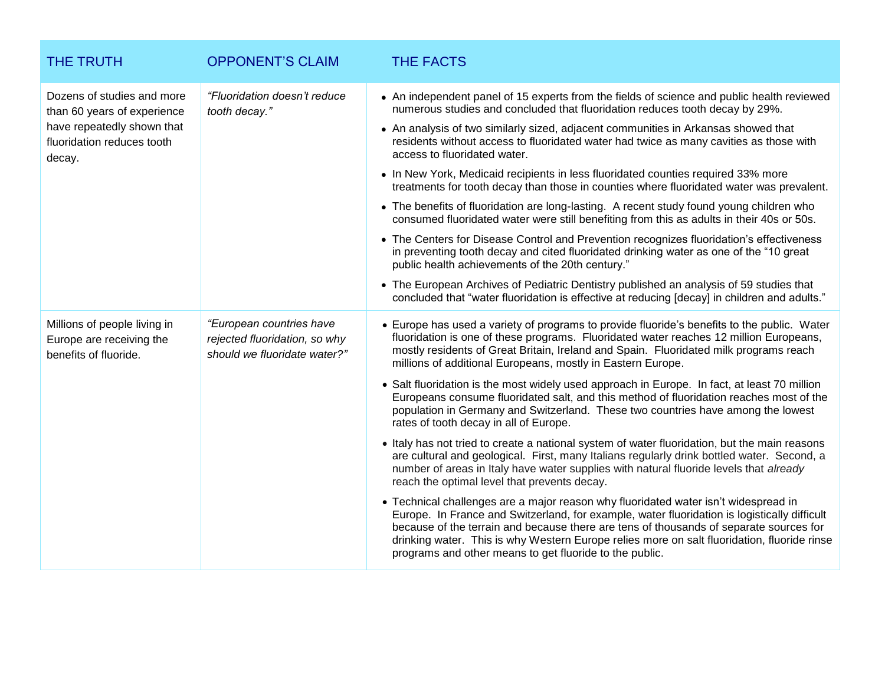| THE TRUTH                                                                                                                       | <b>OPPONENT'S CLAIM</b>                                                                   | <b>THE FACTS</b>                                                                                                                                                                                                                                                                                                                                                                                                                                                                                                                                                                                                                                                                                                                                                                                                                                                                                                                                                                                                                                                                                                                                                                                                                                                                                                                                                                                                                                           |
|---------------------------------------------------------------------------------------------------------------------------------|-------------------------------------------------------------------------------------------|------------------------------------------------------------------------------------------------------------------------------------------------------------------------------------------------------------------------------------------------------------------------------------------------------------------------------------------------------------------------------------------------------------------------------------------------------------------------------------------------------------------------------------------------------------------------------------------------------------------------------------------------------------------------------------------------------------------------------------------------------------------------------------------------------------------------------------------------------------------------------------------------------------------------------------------------------------------------------------------------------------------------------------------------------------------------------------------------------------------------------------------------------------------------------------------------------------------------------------------------------------------------------------------------------------------------------------------------------------------------------------------------------------------------------------------------------------|
| Dozens of studies and more<br>than 60 years of experience<br>have repeatedly shown that<br>fluoridation reduces tooth<br>decay. | "Fluoridation doesn't reduce<br>tooth decay."                                             | • An independent panel of 15 experts from the fields of science and public health reviewed<br>numerous studies and concluded that fluoridation reduces tooth decay by 29%.<br>• An analysis of two similarly sized, adjacent communities in Arkansas showed that<br>residents without access to fluoridated water had twice as many cavities as those with<br>access to fluoridated water.<br>• In New York, Medicaid recipients in less fluoridated counties required 33% more<br>treatments for tooth decay than those in counties where fluoridated water was prevalent.<br>• The benefits of fluoridation are long-lasting. A recent study found young children who<br>consumed fluoridated water were still benefiting from this as adults in their 40s or 50s.<br>• The Centers for Disease Control and Prevention recognizes fluoridation's effectiveness<br>in preventing tooth decay and cited fluoridated drinking water as one of the "10 great<br>public health achievements of the 20th century."<br>• The European Archives of Pediatric Dentistry published an analysis of 59 studies that<br>concluded that "water fluoridation is effective at reducing [decay] in children and adults."                                                                                                                                                                                                                                                  |
| Millions of people living in<br>Europe are receiving the<br>benefits of fluoride.                                               | "European countries have<br>rejected fluoridation, so why<br>should we fluoridate water?" | • Europe has used a variety of programs to provide fluoride's benefits to the public. Water<br>fluoridation is one of these programs. Fluoridated water reaches 12 million Europeans,<br>mostly residents of Great Britain, Ireland and Spain. Fluoridated milk programs reach<br>millions of additional Europeans, mostly in Eastern Europe.<br>• Salt fluoridation is the most widely used approach in Europe. In fact, at least 70 million<br>Europeans consume fluoridated salt, and this method of fluoridation reaches most of the<br>population in Germany and Switzerland. These two countries have among the lowest<br>rates of tooth decay in all of Europe.<br>• Italy has not tried to create a national system of water fluoridation, but the main reasons<br>are cultural and geological. First, many Italians regularly drink bottled water. Second, a<br>number of areas in Italy have water supplies with natural fluoride levels that already<br>reach the optimal level that prevents decay.<br>• Technical challenges are a major reason why fluoridated water isn't widespread in<br>Europe. In France and Switzerland, for example, water fluoridation is logistically difficult<br>because of the terrain and because there are tens of thousands of separate sources for<br>drinking water. This is why Western Europe relies more on salt fluoridation, fluoride rinse<br>programs and other means to get fluoride to the public. |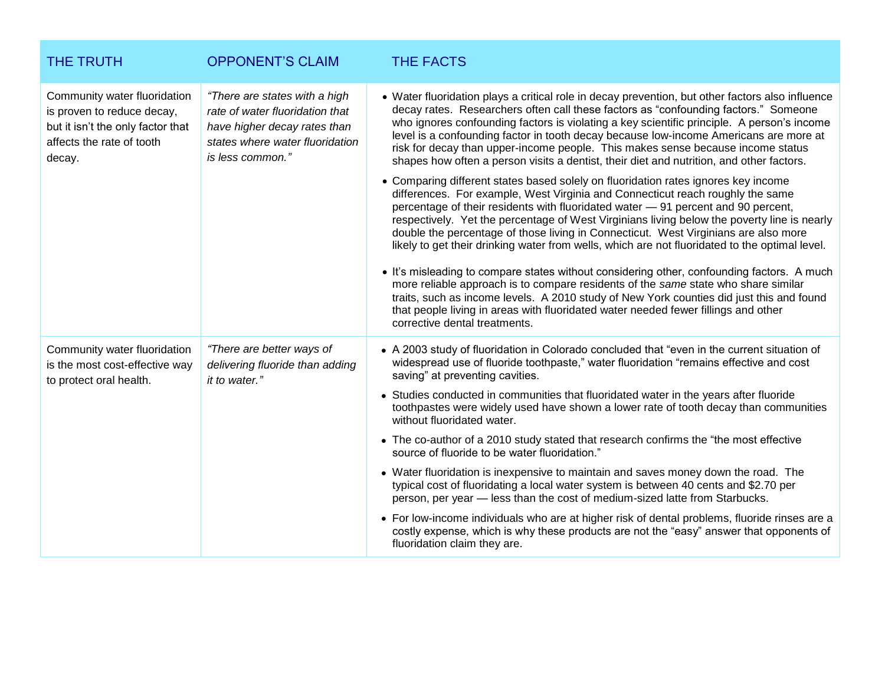| <b>THE TRUTH</b>                                                                                                                       | <b>OPPONENT'S CLAIM</b>                                                                                                                                 | <b>THE FACTS</b>                                                                                                                                                                                                                                                                                                                                                                                                                                                                                                                                                                                                                                                                                                                                                                                                                                                                                                                                                                                                                                                                                                                                                                                                                                                                                                                                                                                                                                                                                                          |
|----------------------------------------------------------------------------------------------------------------------------------------|---------------------------------------------------------------------------------------------------------------------------------------------------------|---------------------------------------------------------------------------------------------------------------------------------------------------------------------------------------------------------------------------------------------------------------------------------------------------------------------------------------------------------------------------------------------------------------------------------------------------------------------------------------------------------------------------------------------------------------------------------------------------------------------------------------------------------------------------------------------------------------------------------------------------------------------------------------------------------------------------------------------------------------------------------------------------------------------------------------------------------------------------------------------------------------------------------------------------------------------------------------------------------------------------------------------------------------------------------------------------------------------------------------------------------------------------------------------------------------------------------------------------------------------------------------------------------------------------------------------------------------------------------------------------------------------------|
| Community water fluoridation<br>is proven to reduce decay,<br>but it isn't the only factor that<br>affects the rate of tooth<br>decay. | "There are states with a high<br>rate of water fluoridation that<br>have higher decay rates than<br>states where water fluoridation<br>is less common." | • Water fluoridation plays a critical role in decay prevention, but other factors also influence<br>decay rates. Researchers often call these factors as "confounding factors." Someone<br>who ignores confounding factors is violating a key scientific principle. A person's income<br>level is a confounding factor in tooth decay because low-income Americans are more at<br>risk for decay than upper-income people. This makes sense because income status<br>shapes how often a person visits a dentist, their diet and nutrition, and other factors.<br>• Comparing different states based solely on fluoridation rates ignores key income<br>differences. For example, West Virginia and Connecticut reach roughly the same<br>percentage of their residents with fluoridated water - 91 percent and 90 percent,<br>respectively. Yet the percentage of West Virginians living below the poverty line is nearly<br>double the percentage of those living in Connecticut. West Virginians are also more<br>likely to get their drinking water from wells, which are not fluoridated to the optimal level.<br>. It's misleading to compare states without considering other, confounding factors. A much<br>more reliable approach is to compare residents of the same state who share similar<br>traits, such as income levels. A 2010 study of New York counties did just this and found<br>that people living in areas with fluoridated water needed fewer fillings and other<br>corrective dental treatments. |
| Community water fluoridation<br>is the most cost-effective way<br>to protect oral health.                                              | "There are better ways of<br>delivering fluoride than adding<br>it to water."                                                                           | • A 2003 study of fluoridation in Colorado concluded that "even in the current situation of<br>widespread use of fluoride toothpaste," water fluoridation "remains effective and cost<br>saving" at preventing cavities.<br>• Studies conducted in communities that fluoridated water in the years after fluoride<br>toothpastes were widely used have shown a lower rate of tooth decay than communities<br>without fluoridated water.<br>• The co-author of a 2010 study stated that research confirms the "the most effective"<br>source of fluoride to be water fluoridation."<br>• Water fluoridation is inexpensive to maintain and saves money down the road. The<br>typical cost of fluoridating a local water system is between 40 cents and \$2.70 per<br>person, per year - less than the cost of medium-sized latte from Starbucks.<br>• For low-income individuals who are at higher risk of dental problems, fluoride rinses are a<br>costly expense, which is why these products are not the "easy" answer that opponents of<br>fluoridation claim they are.                                                                                                                                                                                                                                                                                                                                                                                                                                               |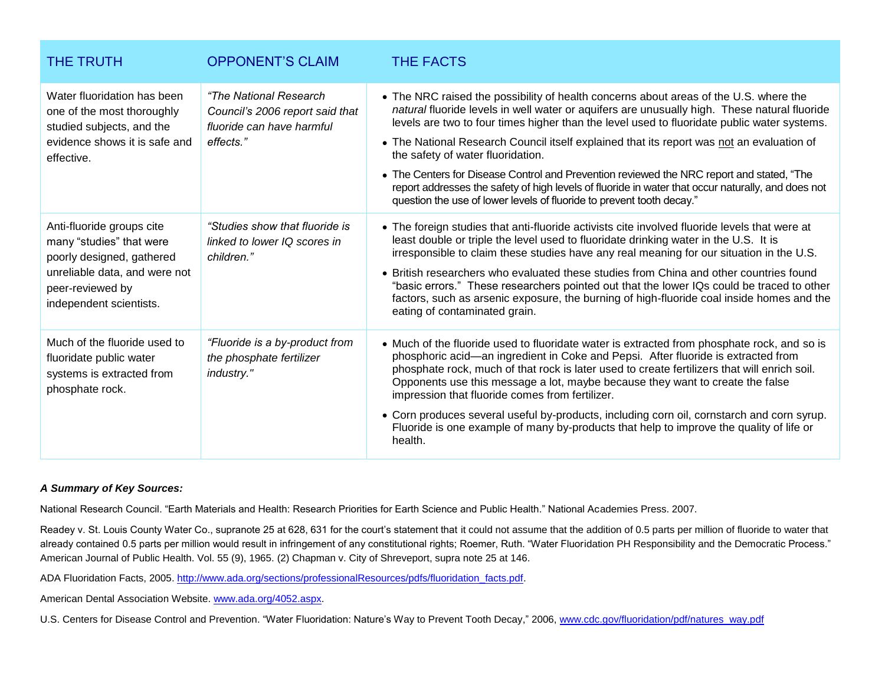| <b>THE TRUTH</b>                                                                                                                                                   | <b>OPPONENT'S CLAIM</b>                                                                                      | <b>THE FACTS</b>                                                                                                                                                                                                                                                                                                                                                                                                                                                                                                                                                                                                                                                                                   |
|--------------------------------------------------------------------------------------------------------------------------------------------------------------------|--------------------------------------------------------------------------------------------------------------|----------------------------------------------------------------------------------------------------------------------------------------------------------------------------------------------------------------------------------------------------------------------------------------------------------------------------------------------------------------------------------------------------------------------------------------------------------------------------------------------------------------------------------------------------------------------------------------------------------------------------------------------------------------------------------------------------|
| Water fluoridation has been<br>one of the most thoroughly<br>studied subjects, and the<br>evidence shows it is safe and<br>effective.                              | <i>"The National Research</i> "<br>Council's 2006 report said that<br>fluoride can have harmful<br>effects." | • The NRC raised the possibility of health concerns about areas of the U.S. where the<br>natural fluoride levels in well water or aquifers are unusually high. These natural fluoride<br>levels are two to four times higher than the level used to fluoridate public water systems.<br>• The National Research Council itself explained that its report was not an evaluation of<br>the safety of water fluoridation.<br>• The Centers for Disease Control and Prevention reviewed the NRC report and stated, "The<br>report addresses the safety of high levels of fluoride in water that occur naturally, and does not<br>question the use of lower levels of fluoride to prevent tooth decay." |
| Anti-fluoride groups cite<br>many "studies" that were<br>poorly designed, gathered<br>unreliable data, and were not<br>peer-reviewed by<br>independent scientists. | "Studies show that fluoride is<br>linked to lower IQ scores in<br>children."                                 | • The foreign studies that anti-fluoride activists cite involved fluoride levels that were at<br>least double or triple the level used to fluoridate drinking water in the U.S. It is<br>irresponsible to claim these studies have any real meaning for our situation in the U.S.<br>• British researchers who evaluated these studies from China and other countries found<br>"basic errors." These researchers pointed out that the lower IQs could be traced to other<br>factors, such as arsenic exposure, the burning of high-fluoride coal inside homes and the<br>eating of contaminated grain.                                                                                             |
| Much of the fluoride used to<br>fluoridate public water<br>systems is extracted from<br>phosphate rock.                                                            | "Fluoride is a by-product from<br>the phosphate fertilizer<br>industry."                                     | • Much of the fluoride used to fluoridate water is extracted from phosphate rock, and so is<br>phosphoric acid-an ingredient in Coke and Pepsi. After fluoride is extracted from<br>phosphate rock, much of that rock is later used to create fertilizers that will enrich soil.<br>Opponents use this message a lot, maybe because they want to create the false<br>impression that fluoride comes from fertilizer.<br>• Corn produces several useful by-products, including corn oil, cornstarch and corn syrup.<br>Fluoride is one example of many by-products that help to improve the quality of life or<br>health.                                                                           |

## *A Summary of Key Sources:*

National Research Council. "Earth Materials and Health: Research Priorities for Earth Science and Public Health." National Academies Press. 2007.

Readey v. St. Louis County Water Co., supranote 25 at 628, 631 for the court's statement that it could not assume that the addition of 0.5 parts per million of fluoride to water that already contained 0.5 parts per million would result in infringement of any constitutional rights; Roemer, Ruth. "Water Fluoridation PH Responsibility and the Democratic Process." American Journal of Public Health. Vol. 55 (9), 1965. (2) Chapman v. City of Shreveport, supra note 25 at 146.

ADA Fluoridation Facts, 2005[. http://www.ada.org/sections/professionalResources/pdfs/fluoridation\\_facts.pdf.](http://www.ada.org/sections/professionalResources/pdfs/fluoridation_facts.pdf)

American Dental Association Website. [www.ada.org/4052.aspx.](http://www.ada.org/4052.aspx)

U.S. Centers for Disease Control and Prevention. "Water Fluoridation: Nature's Way to Prevent Tooth Decay," 2006[, www.cdc.gov/fluoridation/pdf/natures\\_way.pdf](http://www.cdc.gov/fluoridation/pdf/natures_way.pdf)